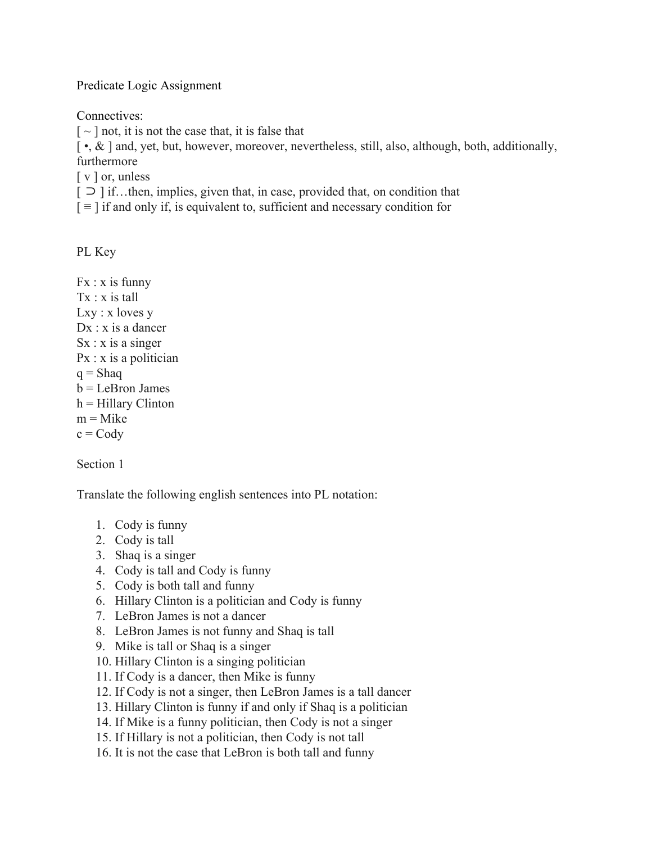Predicate Logic Assignment

Connectives:

 $\lceil \sim \rceil$  not, it is not the case that, it is false that

[ •, & ] and, yet, but, however, moreover, nevertheless, still, also, although, both, additionally, furthermore

[ v ] or, unless

[ ⊃ ] if…then, implies, given that, in case, provided that, on condition that

 $\mathbf{I} \equiv$  1 if and only if, is equivalent to, sufficient and necessary condition for

PL Key

 $Fx: x is funny$ Tx : x is tall Lxy : x loves y  $Dx : x$  is a dancer  $Sx : x$  is a singer Px : x is a politician  $q =$ Shaq  $b = LeBron James$  $h = Hillary Clinton$  $m =$ Mike  $c = Cody$ 

Section 1

Translate the following english sentences into PL notation:

- 1. Cody is funny
- 2. Cody is tall
- 3. Shaq is a singer
- 4. Cody is tall and Cody is funny
- 5. Cody is both tall and funny
- 6. Hillary Clinton is a politician and Cody is funny
- 7. LeBron James is not a dancer
- 8. LeBron James is not funny and Shaq is tall
- 9. Mike is tall or Shaq is a singer
- 10. Hillary Clinton is a singing politician
- 11. If Cody is a dancer, then Mike is funny
- 12. If Cody is not a singer, then LeBron James is a tall dancer
- 13. Hillary Clinton is funny if and only if Shaq is a politician
- 14. If Mike is a funny politician, then Cody is not a singer
- 15. If Hillary is not a politician, then Cody is not tall
- 16. It is not the case that LeBron is both tall and funny